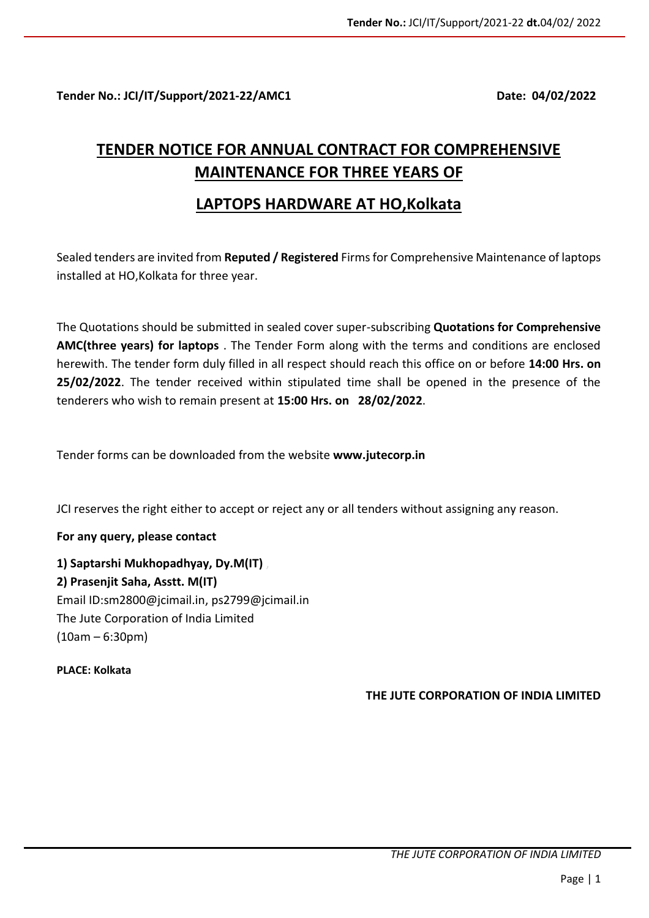**Tender No.: JCI/IT/Support/2021-22/AMC1 Date: 04/02/2022**

# **TENDER NOTICE FOR ANNUAL CONTRACT FOR COMPREHENSIVE MAINTENANCE FOR THREE YEARS OF**

## **LAPTOPS HARDWARE AT HO,Kolkata**

Sealed tenders are invited from **Reputed / Registered** Firms for Comprehensive Maintenance of laptops installed at HO,Kolkata for three year.

The Quotations should be submitted in sealed cover super-subscribing **Quotations for Comprehensive AMC(three years) for laptops** . The Tender Form along with the terms and conditions are enclosed herewith. The tender form duly filled in all respect should reach this office on or before **14:00 Hrs. on 25/02/2022**. The tender received within stipulated time shall be opened in the presence of the tenderers who wish to remain present at **15:00 Hrs. on 28/02/2022**.

Tender forms can be downloaded from the website **www.jutecorp.in**

JCI reserves the right either to accept or reject any or all tenders without assigning any reason.

**For any query, please contact** 

**1) Saptarshi Mukhopadhyay, Dy.M(IT)** , **2) Prasenjit Saha, Asstt. M(IT)** Email ID:sm2800@jcimail.in, ps2799@jcimail.in The Jute Corporation of India Limited (10am – 6:30pm)

**PLACE: Kolkata**

**THE JUTE CORPORATION OF INDIA LIMITED**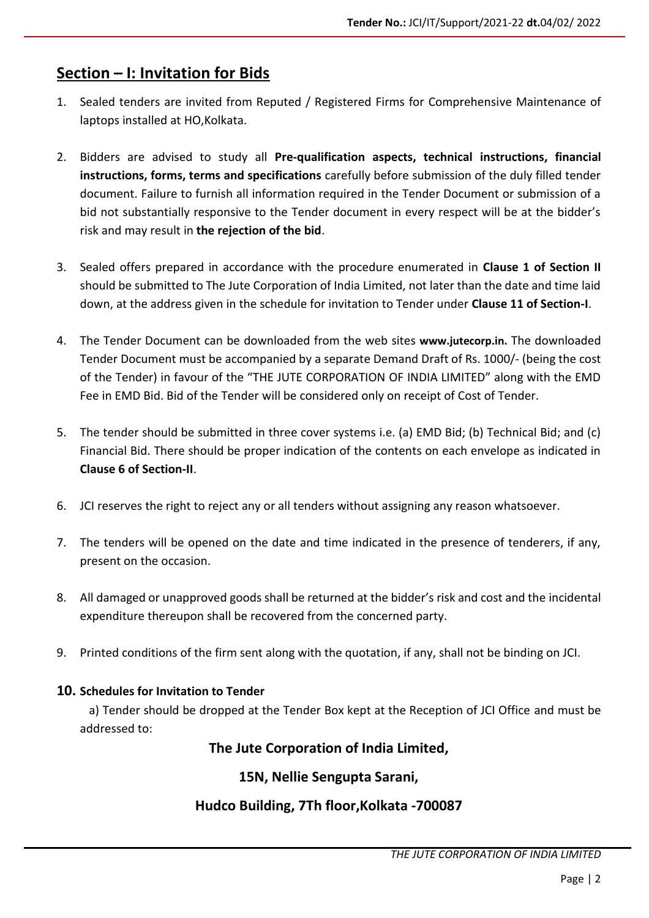# **Section – I: Invitation for Bids**

- 1. Sealed tenders are invited from Reputed / Registered Firms for Comprehensive Maintenance of laptops installed at HO, Kolkata.
- 2. Bidders are advised to study all **Pre-qualification aspects, technical instructions, financial instructions, forms, terms and specifications** carefully before submission of the duly filled tender document. Failure to furnish all information required in the Tender Document or submission of a bid not substantially responsive to the Tender document in every respect will be at the bidder's risk and may result in **the rejection of the bid**.
- 3. Sealed offers prepared in accordance with the procedure enumerated in **Clause 1 of Section II** should be submitted to The Jute Corporation of India Limited, not later than the date and time laid down, at the address given in the schedule for invitation to Tender under **Clause 11 of Section-I**.
- 4. The Tender Document can be downloaded from the web sites **www.jutecorp.in.** The downloaded Tender Document must be accompanied by a separate Demand Draft of Rs. 1000/- (being the cost of the Tender) in favour of the "THE JUTE CORPORATION OF INDIA LIMITED" along with the EMD Fee in EMD Bid. Bid of the Tender will be considered only on receipt of Cost of Tender.
- 5. The tender should be submitted in three cover systems i.e. (a) EMD Bid; (b) Technical Bid; and (c) Financial Bid. There should be proper indication of the contents on each envelope as indicated in **Clause 6 of Section-II**.
- 6. JCI reserves the right to reject any or all tenders without assigning any reason whatsoever.
- 7. The tenders will be opened on the date and time indicated in the presence of tenderers, if any, present on the occasion.
- 8. All damaged or unapproved goods shall be returned at the bidder's risk and cost and the incidental expenditure thereupon shall be recovered from the concerned party.
- 9. Printed conditions of the firm sent along with the quotation, if any, shall not be binding on JCI.

#### **10. Schedules for Invitation to Tender**

 a) Tender should be dropped at the Tender Box kept at the Reception of JCI Office and must be addressed to:

**The Jute Corporation of India Limited,**

## **15N, Nellie Sengupta Sarani,**

## **Hudco Building, 7Th floor,Kolkata -700087**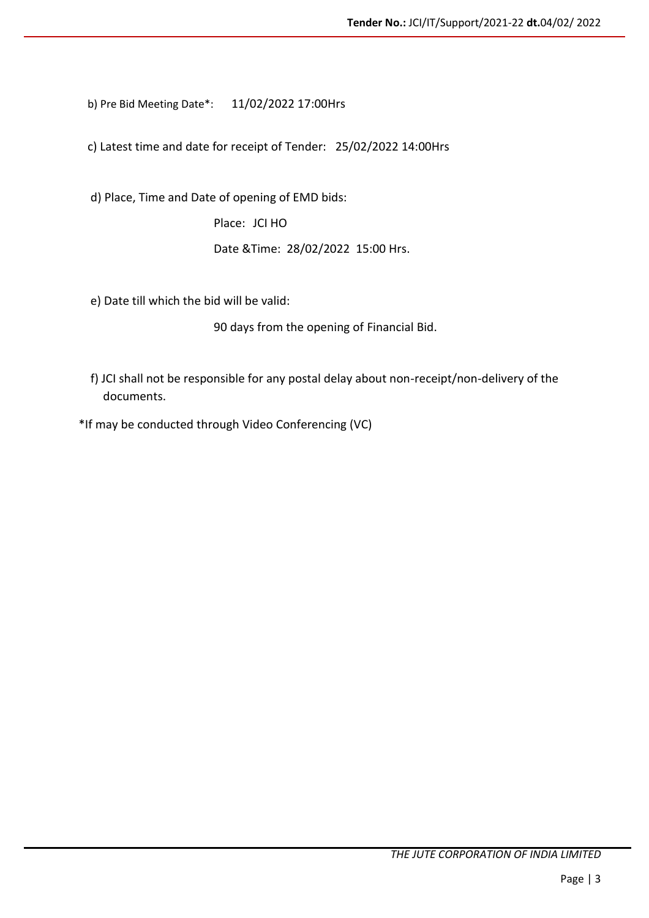b) Pre Bid Meeting Date\*: 11/02/2022 17:00Hrs

c) Latest time and date for receipt of Tender: 25/02/2022 14:00Hrs

d) Place, Time and Date of opening of EMD bids:

Place: JCI HO

Date &Time: 28/02/2022 15:00 Hrs.

e) Date till which the bid will be valid:

90 days from the opening of Financial Bid.

f) JCI shall not be responsible for any postal delay about non-receipt/non-delivery of the documents.

\*If may be conducted through Video Conferencing (VC)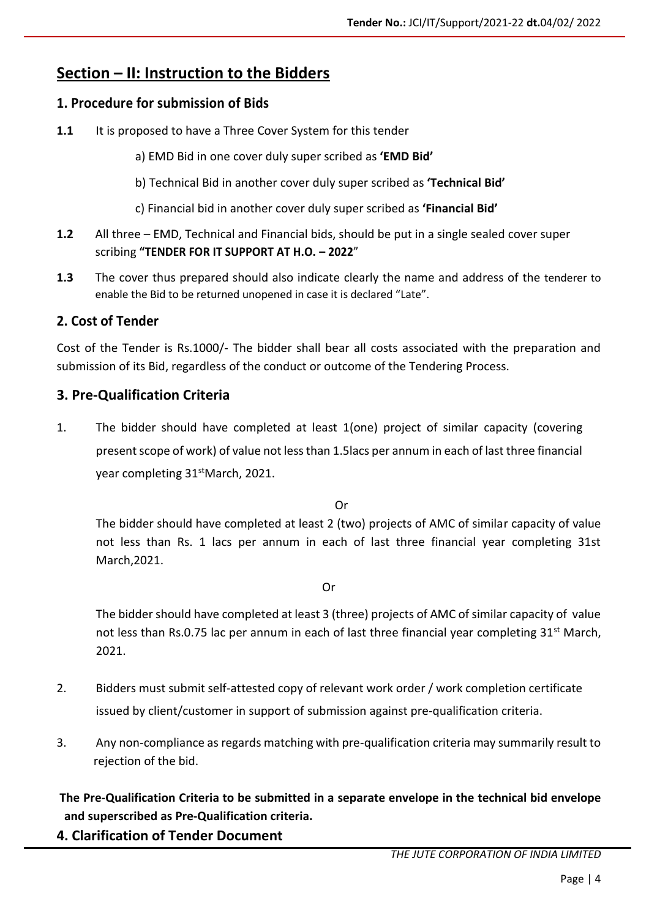# **Section – II: Instruction to the Bidders**

#### **1. Procedure for submission of Bids**

- 1.1 It is proposed to have a Three Cover System for this tender
	- a) EMD Bid in one cover duly super scribed as **'EMD Bid'**
	- b) Technical Bid in another cover duly super scribed as **'Technical Bid'**
	- c) Financial bid in another cover duly super scribed as **'Financial Bid'**
- **1.2** All three EMD, Technical and Financial bids, should be put in a single sealed cover super scribing **"TENDER FOR IT SUPPORT AT H.O. – 2022**"
- **1.3** The cover thus prepared should also indicate clearly the name and address of the tenderer to enable the Bid to be returned unopened in case it is declared "Late".

#### **2. Cost of Tender**

Cost of the Tender is Rs.1000/- The bidder shall bear all costs associated with the preparation and submission of its Bid, regardless of the conduct or outcome of the Tendering Process.

#### **3. Pre-Qualification Criteria**

1. The bidder should have completed at least 1(one) project of similar capacity (covering present scope of work) of value not less than 1.5lacs per annum in each of last three financial year completing 31<sup>st</sup>March, 2021.

Or

The bidder should have completed at least 2 (two) projects of AMC of similar capacity of value not less than Rs. 1 lacs per annum in each of last three financial year completing 31st March,2021.

Or

The bidder should have completed at least 3 (three) projects of AMC of similar capacity of value not less than Rs.0.75 lac per annum in each of last three financial year completing  $31^{st}$  March, 2021.

- 2. Bidders must submit self-attested copy of relevant work order / work completion certificate issued by client/customer in support of submission against pre-qualification criteria.
- 3. Any non-compliance as regards matching with pre-qualification criteria may summarily result to rejection of the bid.

**The Pre-Qualification Criteria to be submitted in a separate envelope in the technical bid envelope and superscribed as Pre-Qualification criteria.**

**4. Clarification of Tender Document**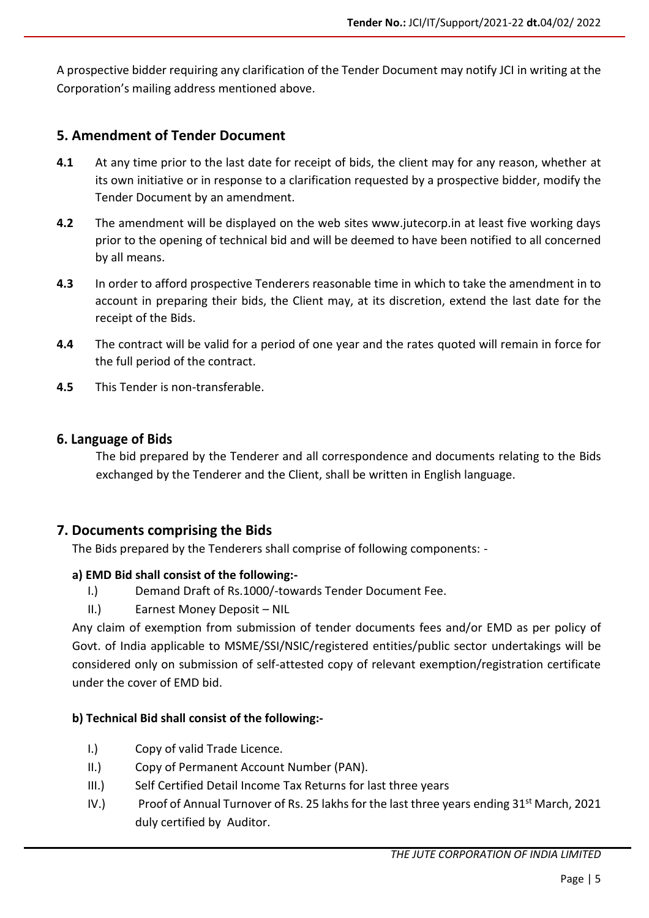A prospective bidder requiring any clarification of the Tender Document may notify JCI in writing at the Corporation's mailing address mentioned above.

#### **5. Amendment of Tender Document**

- **4.1** At any time prior to the last date for receipt of bids, the client may for any reason, whether at its own initiative or in response to a clarification requested by a prospective bidder, modify the Tender Document by an amendment.
- **4.2** The amendment will be displayed on the web sites www.jutecorp.in at least five working days prior to the opening of technical bid and will be deemed to have been notified to all concerned by all means.
- **4.3** In order to afford prospective Tenderers reasonable time in which to take the amendment in to account in preparing their bids, the Client may, at its discretion, extend the last date for the receipt of the Bids.
- **4.4** The contract will be valid for a period of one year and the rates quoted will remain in force for the full period of the contract.
- **4.5** This Tender is non-transferable.

#### **6. Language of Bids**

The bid prepared by the Tenderer and all correspondence and documents relating to the Bids exchanged by the Tenderer and the Client, shall be written in English language.

#### **7. Documents comprising the Bids**

The Bids prepared by the Tenderers shall comprise of following components: -

#### **a) EMD Bid shall consist of the following:-**

- I.) Demand Draft of Rs.1000/-towards Tender Document Fee.
- II.) Earnest Money Deposit NIL

Any claim of exemption from submission of tender documents fees and/or EMD as per policy of Govt. of India applicable to MSME/SSI/NSIC/registered entities/public sector undertakings will be considered only on submission of self-attested copy of relevant exemption/registration certificate under the cover of EMD bid.

#### **b) Technical Bid shall consist of the following:-**

- I.) Copy of valid Trade Licence.
- II.) Copy of Permanent Account Number (PAN).
- III.) Self Certified Detail Income Tax Returns for last three years
- IV.) Proof of Annual Turnover of Rs. 25 lakhs for the last three years ending  $31<sup>st</sup>$  March, 2021 duly certified by Auditor.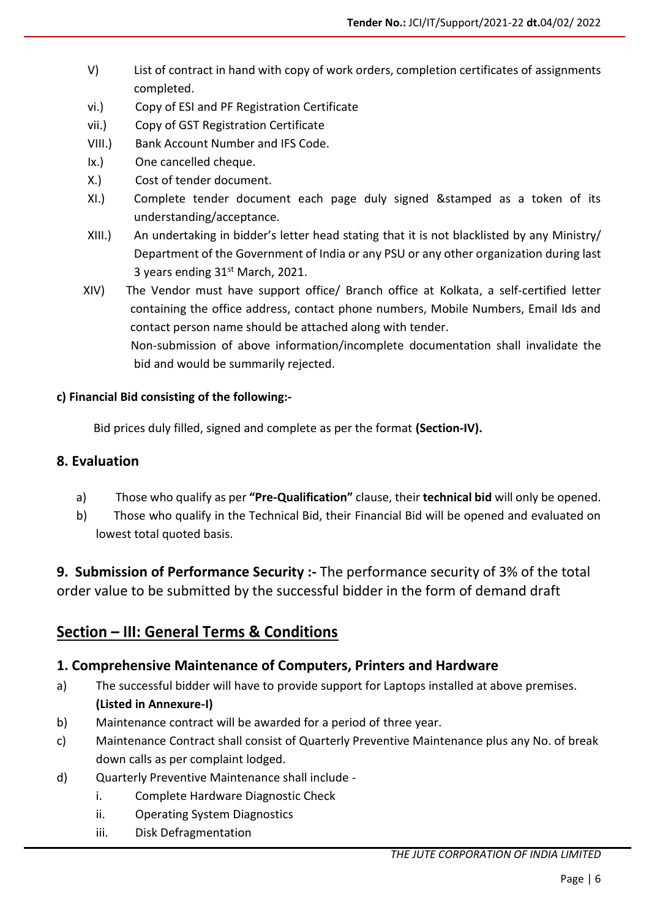- V) List of contract in hand with copy of work orders, completion certificates of assignments completed.
- vi.) Copy of ESI and PF Registration Certificate
- vii.) Copy of GST Registration Certificate
- VIII.) Bank Account Number and IFS Code.
- Ix.) One cancelled cheque.
- X.) Cost of tender document.
- XI.) Complete tender document each page duly signed &stamped as a token of its understanding/acceptance.
- XIII.) An undertaking in bidder's letter head stating that it is not blacklisted by any Ministry/ Department of the Government of India or any PSU or any other organization during last 3 years ending  $31<sup>st</sup>$  March, 2021.
- XIV) The Vendor must have support office/ Branch office at Kolkata, a self-certified letter containing the office address, contact phone numbers, Mobile Numbers, Email Ids and contact person name should be attached along with tender. Non-submission of above information/incomplete documentation shall invalidate the bid and would be summarily rejected.

#### **c) Financial Bid consisting of the following:-**

Bid prices duly filled, signed and complete as per the format **(Section-IV).**

#### **8. Evaluation**

- a) Those who qualify as per **"Pre-Qualification"** clause, their **technical bid** will only be opened.
- b) Those who qualify in the Technical Bid, their Financial Bid will be opened and evaluated on lowest total quoted basis.

**9. Submission of Performance Security :-** The performance security of 3% of the total order value to be submitted by the successful bidder in the form of demand draft

## **Section – III: General Terms & Conditions**

#### **1. Comprehensive Maintenance of Computers, Printers and Hardware**

- a) The successful bidder will have to provide support for Laptops installed at above premises. **(Listed in Annexure-I)**
- b) Maintenance contract will be awarded for a period of three year.
- c) Maintenance Contract shall consist of Quarterly Preventive Maintenance plus any No. of break down calls as per complaint lodged.
- d) Quarterly Preventive Maintenance shall include
	- i. Complete Hardware Diagnostic Check
	- ii. Operating System Diagnostics
	- iii. Disk Defragmentation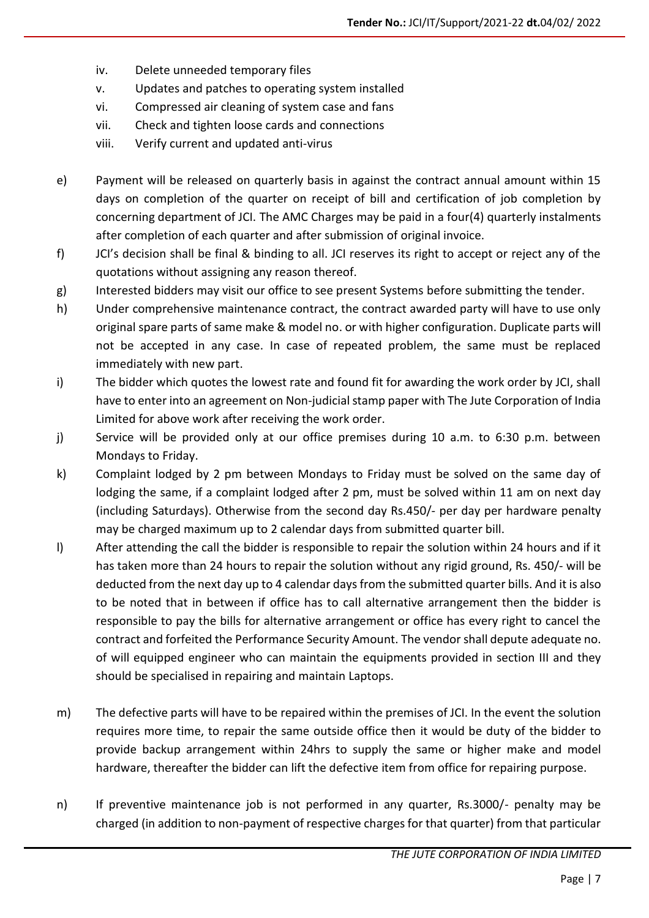- iv. Delete unneeded temporary files
- v. Updates and patches to operating system installed
- vi. Compressed air cleaning of system case and fans
- vii. Check and tighten loose cards and connections
- viii. Verify current and updated anti-virus
- e) Payment will be released on quarterly basis in against the contract annual amount within 15 days on completion of the quarter on receipt of bill and certification of job completion by concerning department of JCI. The AMC Charges may be paid in a four(4) quarterly instalments after completion of each quarter and after submission of original invoice.
- f) JCI's decision shall be final & binding to all. JCI reserves its right to accept or reject any of the quotations without assigning any reason thereof.
- g) Interested bidders may visit our office to see present Systems before submitting the tender.
- h) Under comprehensive maintenance contract, the contract awarded party will have to use only original spare parts of same make & model no. or with higher configuration. Duplicate parts will not be accepted in any case. In case of repeated problem, the same must be replaced immediately with new part.
- i) The bidder which quotes the lowest rate and found fit for awarding the work order by JCI, shall have to enter into an agreement on Non-judicial stamp paper with The Jute Corporation of India Limited for above work after receiving the work order.
- j) Service will be provided only at our office premises during 10 a.m. to 6:30 p.m. between Mondays to Friday.
- k) Complaint lodged by 2 pm between Mondays to Friday must be solved on the same day of lodging the same, if a complaint lodged after 2 pm, must be solved within 11 am on next day (including Saturdays). Otherwise from the second day Rs.450/- per day per hardware penalty may be charged maximum up to 2 calendar days from submitted quarter bill.
- l) After attending the call the bidder is responsible to repair the solution within 24 hours and if it has taken more than 24 hours to repair the solution without any rigid ground, Rs. 450/- will be deducted from the next day up to 4 calendar days from the submitted quarter bills. And it is also to be noted that in between if office has to call alternative arrangement then the bidder is responsible to pay the bills for alternative arrangement or office has every right to cancel the contract and forfeited the Performance Security Amount. The vendor shall depute adequate no. of will equipped engineer who can maintain the equipments provided in section III and they should be specialised in repairing and maintain Laptops.
- m) The defective parts will have to be repaired within the premises of JCI. In the event the solution requires more time, to repair the same outside office then it would be duty of the bidder to provide backup arrangement within 24hrs to supply the same or higher make and model hardware, thereafter the bidder can lift the defective item from office for repairing purpose.
- n) If preventive maintenance job is not performed in any quarter, Rs.3000/- penalty may be charged (in addition to non-payment of respective charges for that quarter) from that particular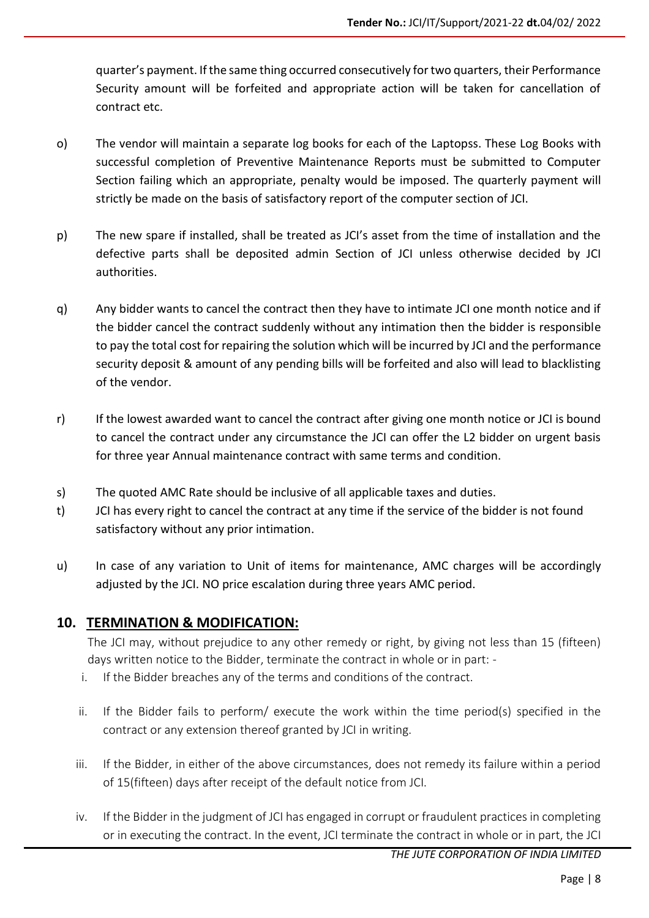quarter's payment. If the same thing occurred consecutively for two quarters, their Performance Security amount will be forfeited and appropriate action will be taken for cancellation of contract etc.

- o) The vendor will maintain a separate log books for each of the Laptopss. These Log Books with successful completion of Preventive Maintenance Reports must be submitted to Computer Section failing which an appropriate, penalty would be imposed. The quarterly payment will strictly be made on the basis of satisfactory report of the computer section of JCI.
- p) The new spare if installed, shall be treated as JCI's asset from the time of installation and the defective parts shall be deposited admin Section of JCI unless otherwise decided by JCI authorities.
- q) Any bidder wants to cancel the contract then they have to intimate JCI one month notice and if the bidder cancel the contract suddenly without any intimation then the bidder is responsible to pay the total cost for repairing the solution which will be incurred by JCI and the performance security deposit & amount of any pending bills will be forfeited and also will lead to blacklisting of the vendor.
- r) If the lowest awarded want to cancel the contract after giving one month notice or JCI is bound to cancel the contract under any circumstance the JCI can offer the L2 bidder on urgent basis for three year Annual maintenance contract with same terms and condition.
- s) The quoted AMC Rate should be inclusive of all applicable taxes and duties.
- t) JCI has every right to cancel the contract at any time if the service of the bidder is not found satisfactory without any prior intimation.
- u) In case of any variation to Unit of items for maintenance, AMC charges will be accordingly adjusted by the JCI. NO price escalation during three years AMC period.

#### **10. TERMINATION & MODIFICATION:**

The JCI may, without prejudice to any other remedy or right, by giving not less than 15 (fifteen) days written notice to the Bidder, terminate the contract in whole or in part: -

- i. If the Bidder breaches any of the terms and conditions of the contract.
- ii. If the Bidder fails to perform/ execute the work within the time period(s) specified in the contract or any extension thereof granted by JCI in writing.
- iii. If the Bidder, in either of the above circumstances, does not remedy its failure within a period of 15(fifteen) days after receipt of the default notice from JCI.
- iv. If the Bidder in the judgment of JCI has engaged in corrupt or fraudulent practices in completing or in executing the contract. In the event, JCI terminate the contract in whole or in part, the JCI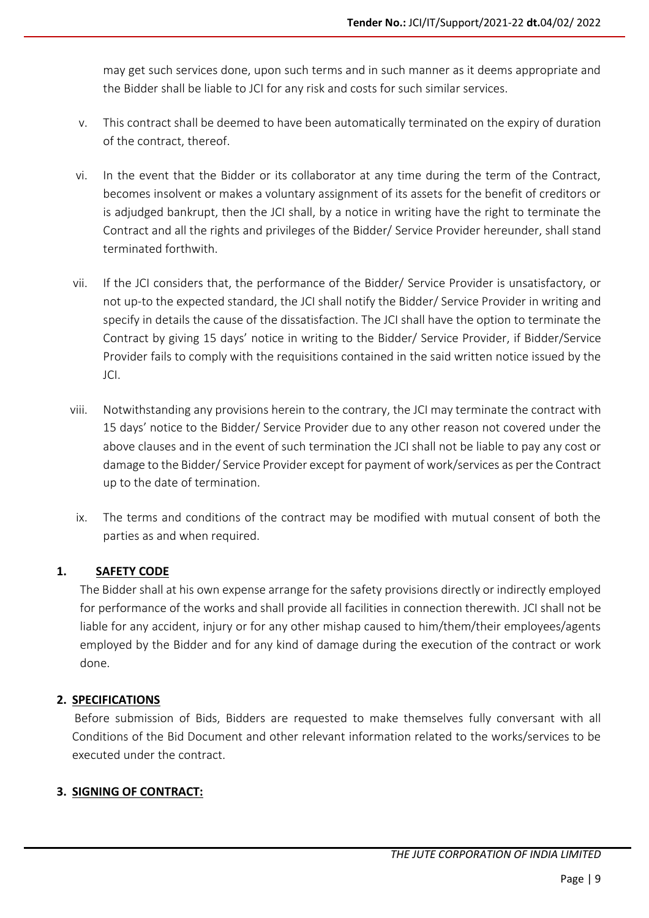may get such services done, upon such terms and in such manner as it deems appropriate and the Bidder shall be liable to JCI for any risk and costs for such similar services.

- v. This contract shall be deemed to have been automatically terminated on the expiry of duration of the contract, thereof.
- vi. In the event that the Bidder or its collaborator at any time during the term of the Contract, becomes insolvent or makes a voluntary assignment of its assets for the benefit of creditors or is adjudged bankrupt, then the JCI shall, by a notice in writing have the right to terminate the Contract and all the rights and privileges of the Bidder/ Service Provider hereunder, shall stand terminated forthwith.
- vii. If the JCI considers that, the performance of the Bidder/ Service Provider is unsatisfactory, or not up-to the expected standard, the JCI shall notify the Bidder/ Service Provider in writing and specify in details the cause of the dissatisfaction. The JCI shall have the option to terminate the Contract by giving 15 days' notice in writing to the Bidder/ Service Provider, if Bidder/Service Provider fails to comply with the requisitions contained in the said written notice issued by the JCI.
- viii. Notwithstanding any provisions herein to the contrary, the JCI may terminate the contract with 15 days' notice to the Bidder/ Service Provider due to any other reason not covered under the above clauses and in the event of such termination the JCI shall not be liable to pay any cost or damage to the Bidder/ Service Provider except for payment of work/services as per the Contract up to the date of termination.
- ix. The terms and conditions of the contract may be modified with mutual consent of both the parties as and when required.

#### **1. SAFETY CODE**

The Bidder shall at his own expense arrange for the safety provisions directly or indirectly employed for performance of the works and shall provide all facilities in connection therewith. JCI shall not be liable for any accident, injury or for any other mishap caused to him/them/their employees/agents employed by the Bidder and for any kind of damage during the execution of the contract or work done.

#### **2. SPECIFICATIONS**

 Before submission of Bids, Bidders are requested to make themselves fully conversant with all Conditions of the Bid Document and other relevant information related to the works/services to be executed under the contract.

#### **3. SIGNING OF CONTRACT:**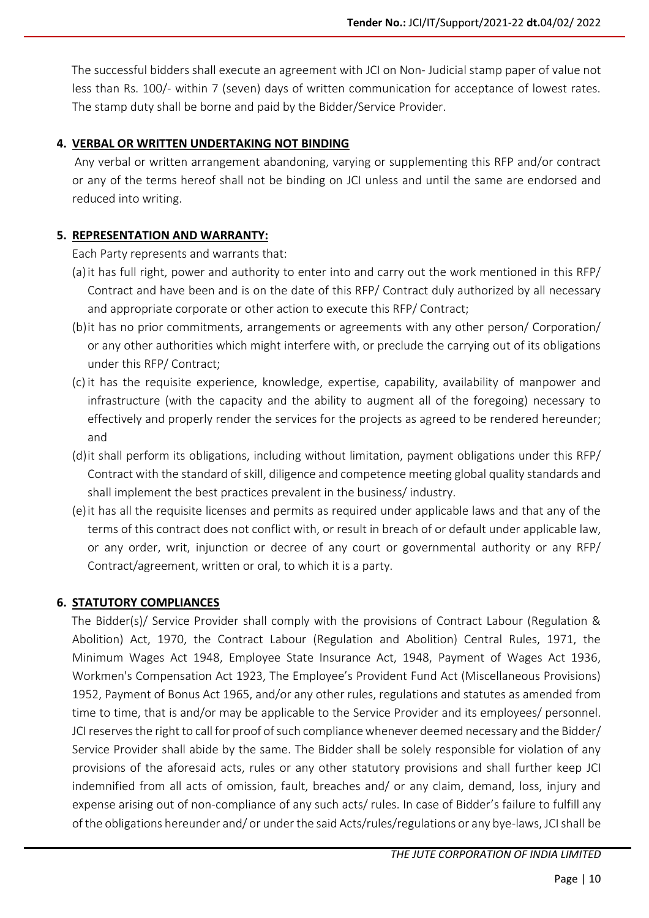The successful bidders shall execute an agreement with JCI on Non- Judicial stamp paper of value not less than Rs. 100/- within 7 (seven) days of written communication for acceptance of lowest rates. The stamp duty shall be borne and paid by the Bidder/Service Provider.

#### **4. VERBAL OR WRITTEN UNDERTAKING NOT BINDING**

 Any verbal or written arrangement abandoning, varying or supplementing this RFP and/or contract or any of the terms hereof shall not be binding on JCI unless and until the same are endorsed and reduced into writing.

#### **5. REPRESENTATION AND WARRANTY:**

Each Party represents and warrants that:

- (a)it has full right, power and authority to enter into and carry out the work mentioned in this RFP/ Contract and have been and is on the date of this RFP/ Contract duly authorized by all necessary and appropriate corporate or other action to execute this RFP/ Contract;
- (b)it has no prior commitments, arrangements or agreements with any other person/ Corporation/ or any other authorities which might interfere with, or preclude the carrying out of its obligations under this RFP/ Contract;
- (c) it has the requisite experience, knowledge, expertise, capability, availability of manpower and infrastructure (with the capacity and the ability to augment all of the foregoing) necessary to effectively and properly render the services for the projects as agreed to be rendered hereunder; and
- (d)it shall perform its obligations, including without limitation, payment obligations under this RFP/ Contract with the standard of skill, diligence and competence meeting global quality standards and shall implement the best practices prevalent in the business/ industry.
- (e)it has all the requisite licenses and permits as required under applicable laws and that any of the terms of this contract does not conflict with, or result in breach of or default under applicable law, or any order, writ, injunction or decree of any court or governmental authority or any RFP/ Contract/agreement, written or oral, to which it is a party.

#### **6. STATUTORY COMPLIANCES**

 The Bidder(s)/ Service Provider shall comply with the provisions of Contract Labour (Regulation & Abolition) Act, 1970, the Contract Labour (Regulation and Abolition) Central Rules, 1971, the Minimum Wages Act 1948, Employee State Insurance Act, 1948, Payment of Wages Act 1936, Workmen's Compensation Act 1923, The Employee's Provident Fund Act (Miscellaneous Provisions) 1952, Payment of Bonus Act 1965, and/or any other rules, regulations and statutes as amended from time to time, that is and/or may be applicable to the Service Provider and its employees/ personnel. JCI reserves the right to call for proof of such compliance whenever deemed necessary and the Bidder/ Service Provider shall abide by the same. The Bidder shall be solely responsible for violation of any provisions of the aforesaid acts, rules or any other statutory provisions and shall further keep JCI indemnified from all acts of omission, fault, breaches and/ or any claim, demand, loss, injury and expense arising out of non-compliance of any such acts/ rules. In case of Bidder's failure to fulfill any of the obligations hereunder and/ or under the said Acts/rules/regulations or any bye-laws, JCI shall be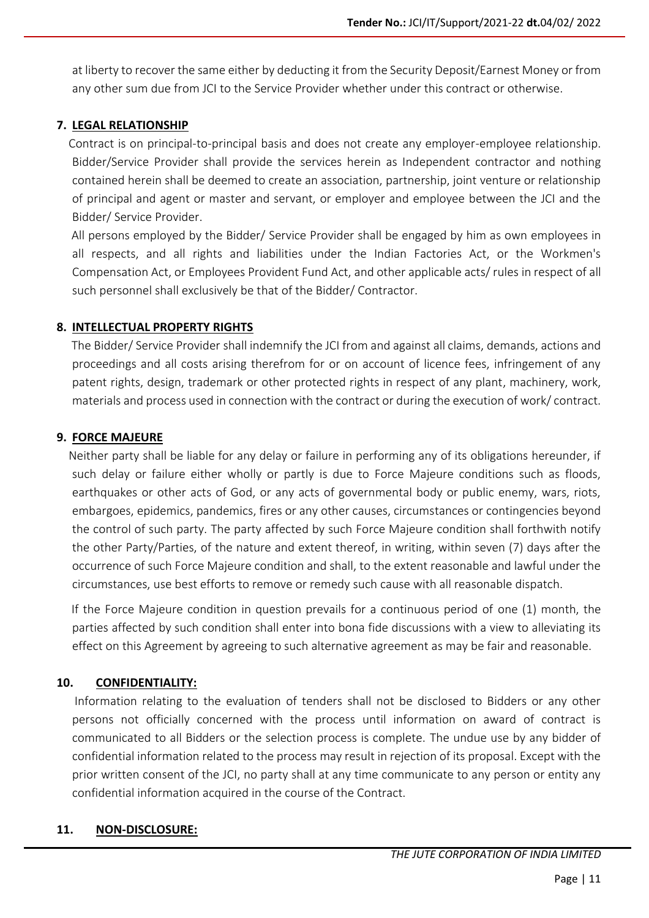at liberty to recover the same either by deducting it from the Security Deposit/Earnest Money or from any other sum due from JCI to the Service Provider whether under this contract or otherwise.

#### **7. LEGAL RELATIONSHIP**

 Contract is on principal-to-principal basis and does not create any employer-employee relationship. Bidder/Service Provider shall provide the services herein as Independent contractor and nothing contained herein shall be deemed to create an association, partnership, joint venture or relationship of principal and agent or master and servant, or employer and employee between the JCI and the Bidder/ Service Provider.

 All persons employed by the Bidder/ Service Provider shall be engaged by him as own employees in all respects, and all rights and liabilities under the Indian Factories Act, or the Workmen's Compensation Act, or Employees Provident Fund Act, and other applicable acts/ rules in respect of all such personnel shall exclusively be that of the Bidder/ Contractor.

#### **8. INTELLECTUAL PROPERTY RIGHTS**

 The Bidder/ Service Provider shall indemnify the JCI from and against all claims, demands, actions and proceedings and all costs arising therefrom for or on account of licence fees, infringement of any patent rights, design, trademark or other protected rights in respect of any plant, machinery, work, materials and process used in connection with the contract or during the execution of work/ contract.

#### **9. FORCE MAJEURE**

 Neither party shall be liable for any delay or failure in performing any of its obligations hereunder, if such delay or failure either wholly or partly is due to Force Majeure conditions such as floods, earthquakes or other acts of God, or any acts of governmental body or public enemy, wars, riots, embargoes, epidemics, pandemics, fires or any other causes, circumstances or contingencies beyond the control of such party. The party affected by such Force Majeure condition shall forthwith notify the other Party/Parties, of the nature and extent thereof, in writing, within seven (7) days after the occurrence of such Force Majeure condition and shall, to the extent reasonable and lawful under the circumstances, use best efforts to remove or remedy such cause with all reasonable dispatch.

 If the Force Majeure condition in question prevails for a continuous period of one (1) month, the parties affected by such condition shall enter into bona fide discussions with a view to alleviating its effect on this Agreement by agreeing to such alternative agreement as may be fair and reasonable.

#### **10. CONFIDENTIALITY:**

 Information relating to the evaluation of tenders shall not be disclosed to Bidders or any other persons not officially concerned with the process until information on award of contract is communicated to all Bidders or the selection process is complete. The undue use by any bidder of confidential information related to the process may result in rejection of its proposal. Except with the prior written consent of the JCI, no party shall at any time communicate to any person or entity any confidential information acquired in the course of the Contract.

#### **11. NON-DISCLOSURE:**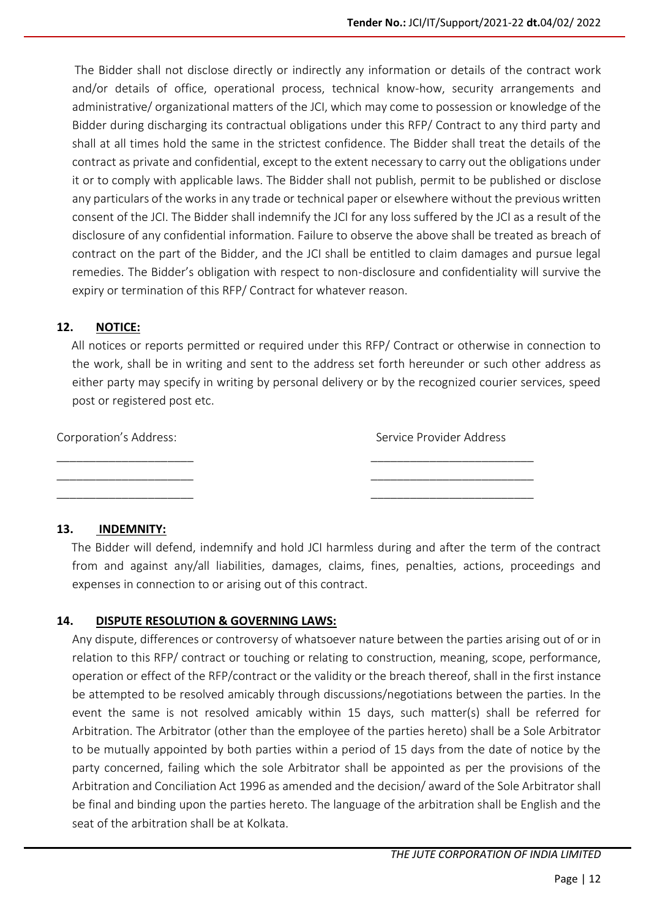The Bidder shall not disclose directly or indirectly any information or details of the contract work and/or details of office, operational process, technical know-how, security arrangements and administrative/ organizational matters of the JCI, which may come to possession or knowledge of the Bidder during discharging its contractual obligations under this RFP/ Contract to any third party and shall at all times hold the same in the strictest confidence. The Bidder shall treat the details of the contract as private and confidential, except to the extent necessary to carry out the obligations under it or to comply with applicable laws. The Bidder shall not publish, permit to be published or disclose any particulars of the works in any trade or technical paper or elsewhere without the previous written consent of the JCI. The Bidder shall indemnify the JCI for any loss suffered by the JCI as a result of the disclosure of any confidential information. Failure to observe the above shall be treated as breach of contract on the part of the Bidder, and the JCI shall be entitled to claim damages and pursue legal remedies. The Bidder's obligation with respect to non-disclosure and confidentiality will survive the expiry or termination of this RFP/ Contract for whatever reason.

#### **12. NOTICE:**

 All notices or reports permitted or required under this RFP/ Contract or otherwise in connection to the work, shall be in writing and sent to the address set forth hereunder or such other address as either party may specify in writing by personal delivery or by the recognized courier services, speed post or registered post etc.

Corporation's Address: Service Provider Address \_\_\_\_\_\_\_\_\_\_\_\_\_\_\_\_\_\_\_\_\_ \_\_\_\_\_\_\_\_\_\_\_\_\_\_\_\_\_\_\_\_\_\_\_\_\_ \_\_\_\_\_\_\_\_\_\_\_\_\_\_\_\_\_\_\_\_\_ \_\_\_\_\_\_\_\_\_\_\_\_\_\_\_\_\_\_\_\_\_\_\_\_\_

\_\_\_\_\_\_\_\_\_\_\_\_\_\_\_\_\_\_\_\_\_ \_\_\_\_\_\_\_\_\_\_\_\_\_\_\_\_\_\_\_\_\_\_\_\_\_

#### **13. INDEMNITY:**

 The Bidder will defend, indemnify and hold JCI harmless during and after the term of the contract from and against any/all liabilities, damages, claims, fines, penalties, actions, proceedings and expenses in connection to or arising out of this contract.

#### **14. DISPUTE RESOLUTION & GOVERNING LAWS:**

Any dispute, differences or controversy of whatsoever nature between the parties arising out of or in relation to this RFP/ contract or touching or relating to construction, meaning, scope, performance, operation or effect of the RFP/contract or the validity or the breach thereof, shall in the first instance be attempted to be resolved amicably through discussions/negotiations between the parties. In the event the same is not resolved amicably within 15 days, such matter(s) shall be referred for Arbitration. The Arbitrator (other than the employee of the parties hereto) shall be a Sole Arbitrator to be mutually appointed by both parties within a period of 15 days from the date of notice by the party concerned, failing which the sole Arbitrator shall be appointed as per the provisions of the Arbitration and Conciliation Act 1996 as amended and the decision/ award of the Sole Arbitrator shall be final and binding upon the parties hereto. The language of the arbitration shall be English and the seat of the arbitration shall be at Kolkata.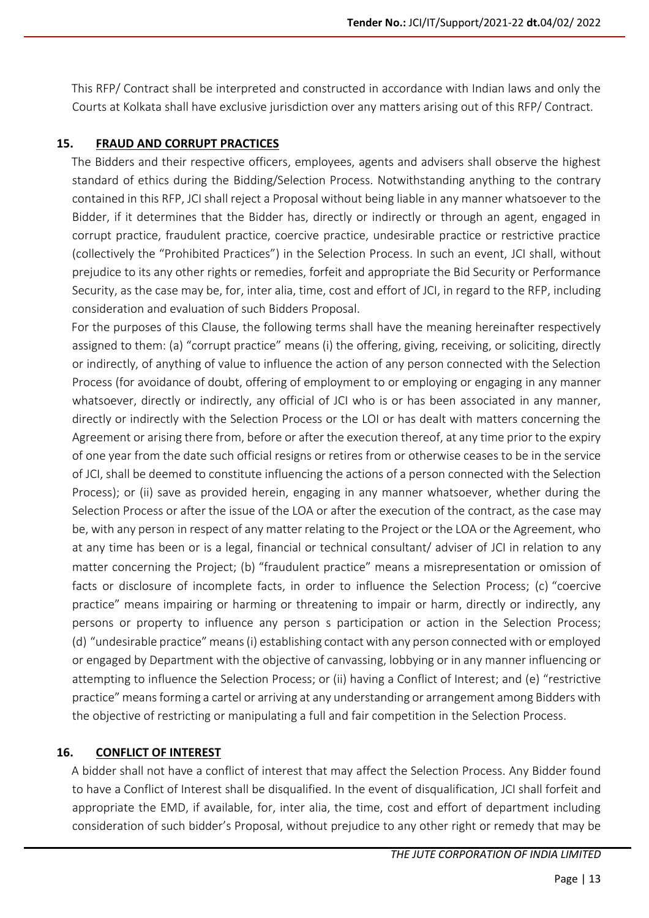This RFP/ Contract shall be interpreted and constructed in accordance with Indian laws and only the Courts at Kolkata shall have exclusive jurisdiction over any matters arising out of this RFP/ Contract.

#### **15. FRAUD AND CORRUPT PRACTICES**

 The Bidders and their respective officers, employees, agents and advisers shall observe the highest standard of ethics during the Bidding/Selection Process. Notwithstanding anything to the contrary contained in this RFP, JCI shall reject a Proposal without being liable in any manner whatsoever to the Bidder, if it determines that the Bidder has, directly or indirectly or through an agent, engaged in corrupt practice, fraudulent practice, coercive practice, undesirable practice or restrictive practice (collectively the "Prohibited Practices") in the Selection Process. In such an event, JCI shall, without prejudice to its any other rights or remedies, forfeit and appropriate the Bid Security or Performance Security, as the case may be, for, inter alia, time, cost and effort of JCI, in regard to the RFP, including consideration and evaluation of such Bidders Proposal.

 For the purposes of this Clause, the following terms shall have the meaning hereinafter respectively assigned to them: (a) "corrupt practice" means (i) the offering, giving, receiving, or soliciting, directly or indirectly, of anything of value to influence the action of any person connected with the Selection Process (for avoidance of doubt, offering of employment to or employing or engaging in any manner whatsoever, directly or indirectly, any official of JCI who is or has been associated in any manner, directly or indirectly with the Selection Process or the LOI or has dealt with matters concerning the Agreement or arising there from, before or after the execution thereof, at any time prior to the expiry of one year from the date such official resigns or retires from or otherwise ceases to be in the service of JCI, shall be deemed to constitute influencing the actions of a person connected with the Selection Process); or (ii) save as provided herein, engaging in any manner whatsoever, whether during the Selection Process or after the issue of the LOA or after the execution of the contract, as the case may be, with any person in respect of any matter relating to the Project or the LOA or the Agreement, who at any time has been or is a legal, financial or technical consultant/ adviser of JCI in relation to any matter concerning the Project; (b) "fraudulent practice" means a misrepresentation or omission of facts or disclosure of incomplete facts, in order to influence the Selection Process; (c) "coercive practice" means impairing or harming or threatening to impair or harm, directly or indirectly, any persons or property to influence any person s participation or action in the Selection Process; (d) "undesirable practice" means (i) establishing contact with any person connected with or employed or engaged by Department with the objective of canvassing, lobbying or in any manner influencing or attempting to influence the Selection Process; or (ii) having a Conflict of Interest; and (e) "restrictive practice" means forming a cartel or arriving at any understanding or arrangement among Bidders with the objective of restricting or manipulating a full and fair competition in the Selection Process.

#### **16. CONFLICT OF INTEREST**

 A bidder shall not have a conflict of interest that may affect the Selection Process. Any Bidder found to have a Conflict of Interest shall be disqualified. In the event of disqualification, JCI shall forfeit and appropriate the EMD, if available, for, inter alia, the time, cost and effort of department including consideration of such bidder's Proposal, without prejudice to any other right or remedy that may be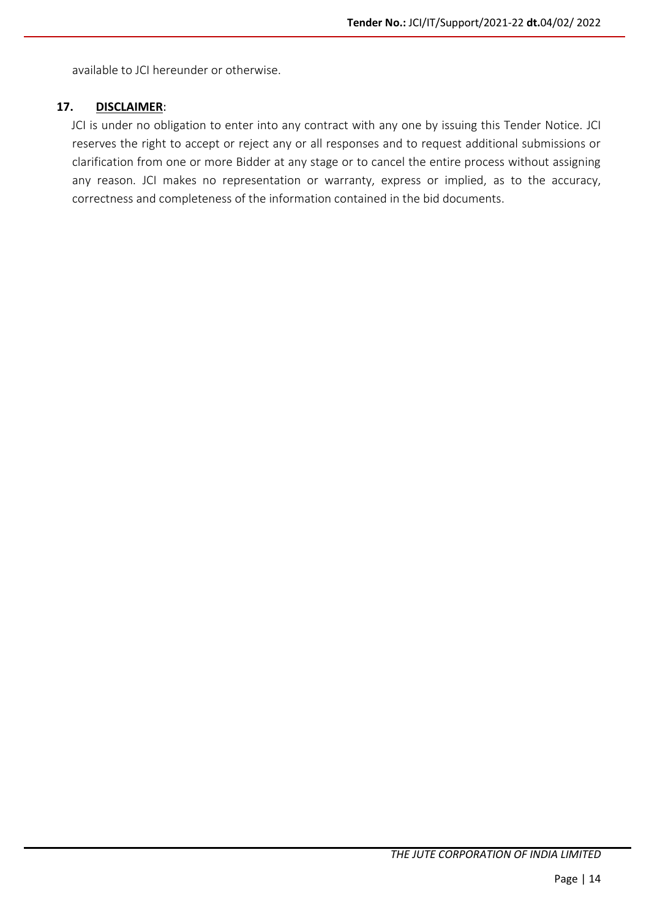available to JCI hereunder or otherwise.

#### **17. DISCLAIMER**:

 JCI is under no obligation to enter into any contract with any one by issuing this Tender Notice. JCI reserves the right to accept or reject any or all responses and to request additional submissions or clarification from one or more Bidder at any stage or to cancel the entire process without assigning any reason. JCI makes no representation or warranty, express or implied, as to the accuracy, correctness and completeness of the information contained in the bid documents.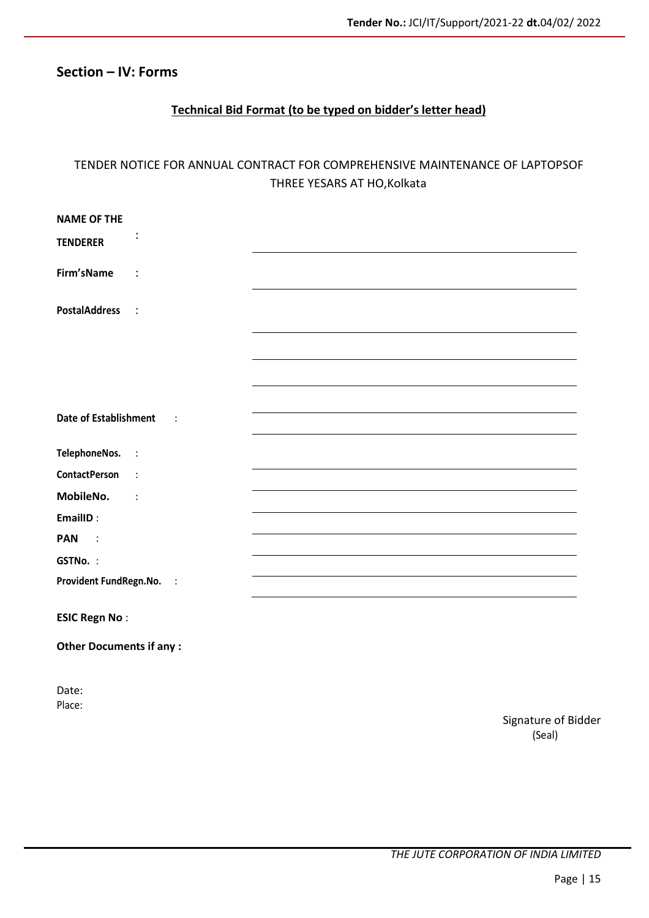#### **Section – IV: Forms**

#### **Technical Bid Format (to be typed on bidder's letter head)**

#### TENDER NOTICE FOR ANNUAL CONTRACT FOR COMPREHENSIVE MAINTENANCE OF LAPTOPSOF THREE YESARS AT HO,Kolkata

| <b>NAME OF THE</b>                                   |                               |
|------------------------------------------------------|-------------------------------|
| ÷<br><b>TENDERER</b>                                 |                               |
|                                                      |                               |
| Firm'sName<br>$\ddot{\cdot}$                         |                               |
|                                                      |                               |
| <b>PostalAddress</b><br>$\ddot{\cdot}$               |                               |
|                                                      |                               |
|                                                      |                               |
|                                                      |                               |
|                                                      |                               |
| <b>Date of Establishment</b><br>$\ddot{\phantom{a}}$ |                               |
|                                                      |                               |
| TelephoneNos.<br>$\vdots$                            |                               |
| <b>ContactPerson</b><br>$\ddot{\phantom{a}}$         |                               |
| MobileNo.<br>$\ddot{\phantom{a}}$                    |                               |
| EmailID:                                             |                               |
| <b>PAN</b><br>$\ddot{\phantom{1}}$                   |                               |
| GSTNo.:                                              |                               |
| Provident FundRegn.No.<br>$\sim$ :                   |                               |
|                                                      |                               |
| <b>ESIC Regn No:</b>                                 |                               |
| <b>Other Documents if any:</b>                       |                               |
|                                                      |                               |
|                                                      |                               |
| Date:<br>Place:                                      |                               |
|                                                      | Signature of Bidder<br>(Seal) |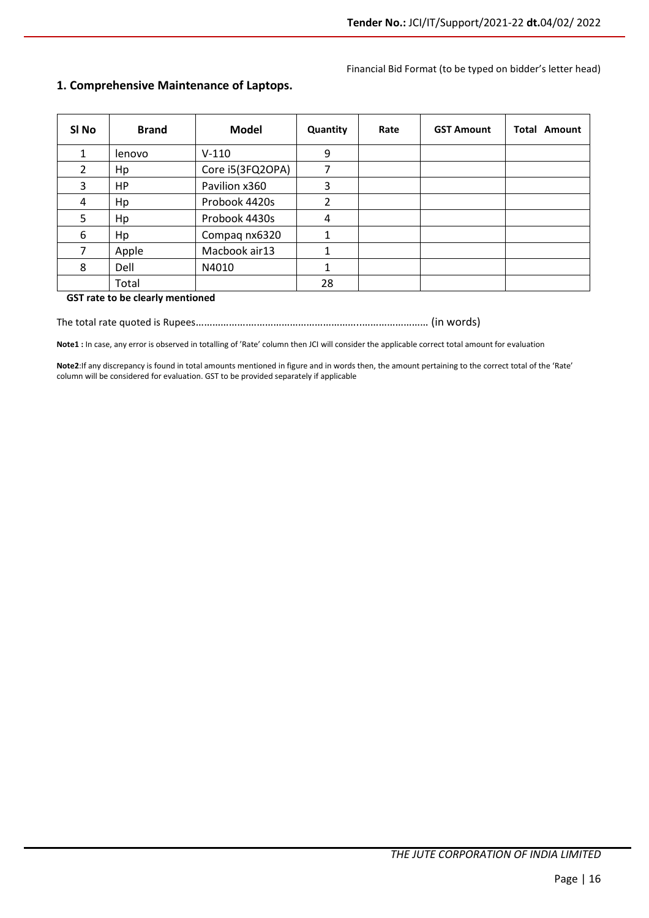#### Financial Bid Format (to be typed on bidder's letter head)

| SI No         | <b>Brand</b> | <b>Model</b>     | Quantity | Rate | <b>GST Amount</b> | <b>Total Amount</b> |
|---------------|--------------|------------------|----------|------|-------------------|---------------------|
| 1             | lenovo       | $V-110$          | 9        |      |                   |                     |
| $\mathcal{L}$ | Hp           | Core i5(3FQ2OPA) |          |      |                   |                     |
| 3             | <b>HP</b>    | Pavilion x360    | 3        |      |                   |                     |
| 4             | Hp           | Probook 4420s    | 2        |      |                   |                     |
| 5             | Hp           | Probook 4430s    | 4        |      |                   |                     |
| 6             | Hp           | Compaq nx6320    |          |      |                   |                     |
| 7             | Apple        | Macbook air13    |          |      |                   |                     |
| 8             | Dell         | N4010            |          |      |                   |                     |
|               | Total        |                  | 28       |      |                   |                     |

#### **1. Comprehensive Maintenance of Laptops.**

#### **GST rate to be clearly mentioned**

The total rate quoted is Rupees……………….…………………………………..…………………… (in words)

**Note1 :** In case, any error is observed in totalling of 'Rate' column then JCI will consider the applicable correct total amount for evaluation

**Note2**:If any discrepancy is found in total amounts mentioned in figure and in words then, the amount pertaining to the correct total of the 'Rate' column will be considered for evaluation. GST to be provided separately if applicable